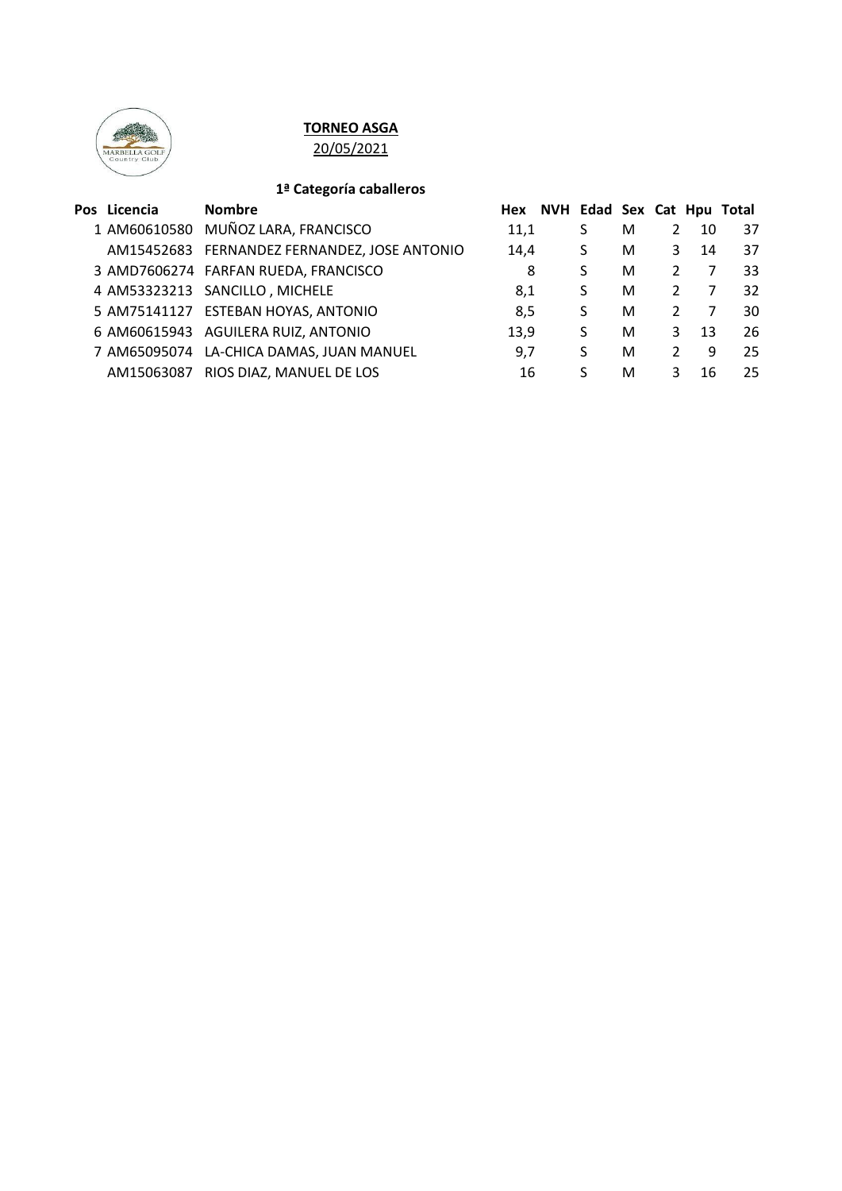

# **TORNEO ASGA**

20/05/2021

## **1ª Categoría caballeros**

| Pos Licencia | <b>Nombre</b>                                | Hex  | NVH Edad Sex Cat Hpu Total |   |               |    |    |
|--------------|----------------------------------------------|------|----------------------------|---|---------------|----|----|
|              | 1 AM60610580 MUÑOZ LARA, FRANCISCO           | 11,1 | S                          | М | 2             | 10 | 37 |
|              | AM15452683 FERNANDEZ FERNANDEZ, JOSE ANTONIO | 14.4 | S                          | м | 3             | 14 | 37 |
|              | 3 AMD7606274 FARFAN RUEDA, FRANCISCO         | 8    | S                          | M | 2             |    | 33 |
|              | 4 AM53323213 SANCILLO, MICHELE               | 8,1  | S                          | M | 2             |    | 32 |
|              | 5 AM75141127 ESTEBAN HOYAS, ANTONIO          | 8,5  | S                          | M | $\mathcal{P}$ |    | 30 |
|              | 6 AM60615943 AGUILERA RUIZ, ANTONIO          | 13,9 | S                          | M | 3             | 13 | 26 |
|              | 7 AM65095074 LA-CHICA DAMAS, JUAN MANUEL     | 9.7  | S                          | M | $\mathcal{L}$ | 9  | 25 |
| AM15063087   | RIOS DIAZ, MANUEL DE LOS                     | 16   | S.                         | м |               | 16 | 25 |
|              |                                              |      |                            |   |               |    |    |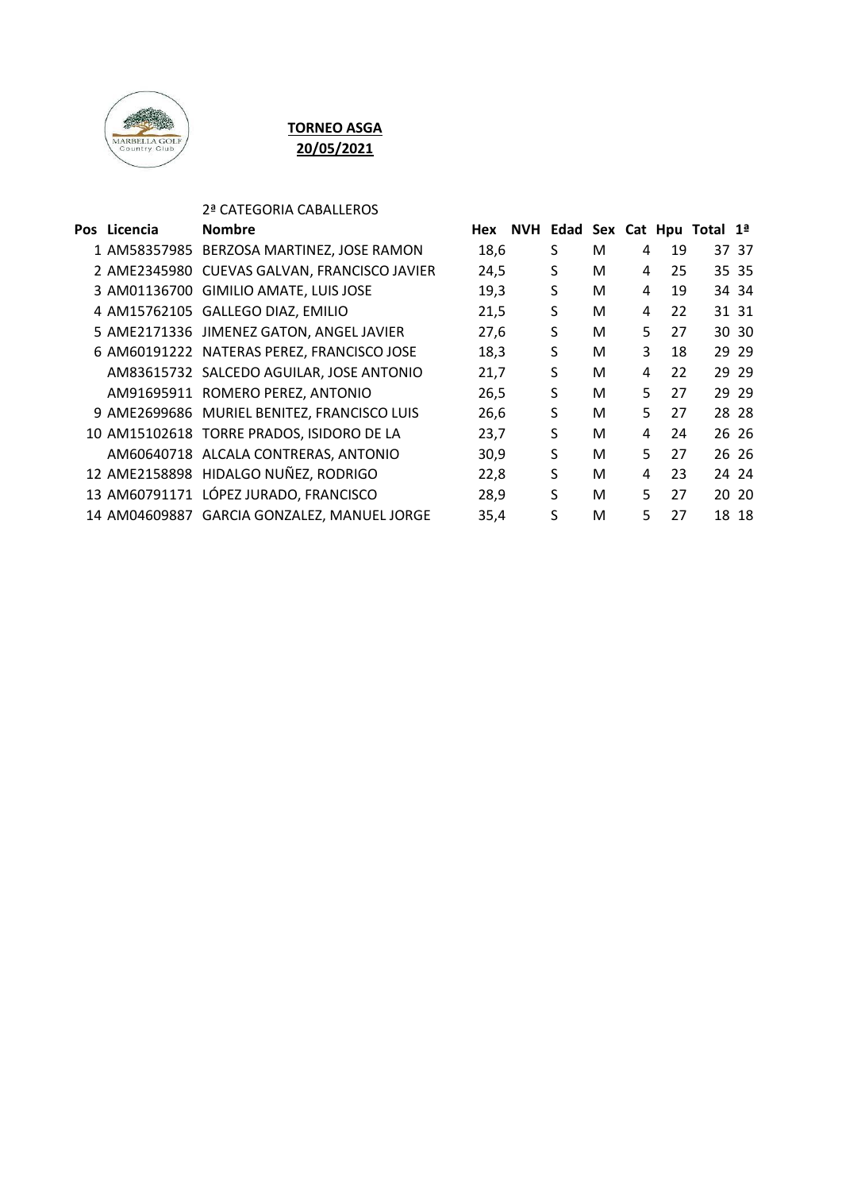

# **TORNEO ASGA 20/05/2021**

## 2ª CATEGORIA CABALLEROS

| Pos Licencia | <b>Nombre</b>                                | Hex  | NVH Edad Sex Cat Hpu Total 1ª |   |    |    |       |
|--------------|----------------------------------------------|------|-------------------------------|---|----|----|-------|
|              | 1 AM58357985 BERZOSA MARTINEZ, JOSE RAMON    | 18,6 | S                             | м | 4  | 19 | 37 37 |
|              | 2 AME2345980 CUEVAS GALVAN, FRANCISCO JAVIER | 24,5 | S                             | м | 4  | 25 | 35 35 |
|              | 3 AM01136700 GIMILIO AMATE, LUIS JOSE        | 19,3 | S                             | м | 4  | 19 | 34 34 |
|              | 4 AM15762105 GALLEGO DIAZ, EMILIO            | 21,5 | S                             | м | 4  | 22 | 31 31 |
|              | 5 AME2171336 JIMENEZ GATON, ANGEL JAVIER     | 27,6 | S                             | М | 5. | 27 | 30 30 |
|              | 6 AM60191222 NATERAS PEREZ, FRANCISCO JOSE   | 18,3 | S                             | м | 3  | 18 | 29 29 |
|              | AM83615732 SALCEDO AGUILAR, JOSE ANTONIO     | 21,7 | S                             | м | 4  | 22 | 29 29 |
|              | AM91695911 ROMERO PEREZ, ANTONIO             | 26,5 | S                             | м | 5  | 27 | 29 29 |
|              | 9 AME2699686 MURIEL BENITEZ, FRANCISCO LUIS  | 26,6 | S                             | M | 5. | 27 | 28 28 |
|              | 10 AM15102618 TORRE PRADOS, ISIDORO DE LA    | 23,7 | S                             | м | 4  | 24 | 26 26 |
|              | AM60640718 ALCALA CONTRERAS, ANTONIO         | 30,9 | S                             | м | 5. | 27 | 26 26 |
|              | 12 AME2158898 HIDALGO NUÑEZ, RODRIGO         | 22,8 | S                             | м | 4  | 23 | 24 24 |
|              | 13 AM60791171 LÓPEZ JURADO, FRANCISCO        | 28,9 | S                             | M | 5  | 27 | 20 20 |
|              | 14 AM04609887 GARCIA GONZALEZ, MANUEL JORGE  | 35,4 | S                             | М | 5  | 27 | 18 18 |
|              |                                              |      |                               |   |    |    |       |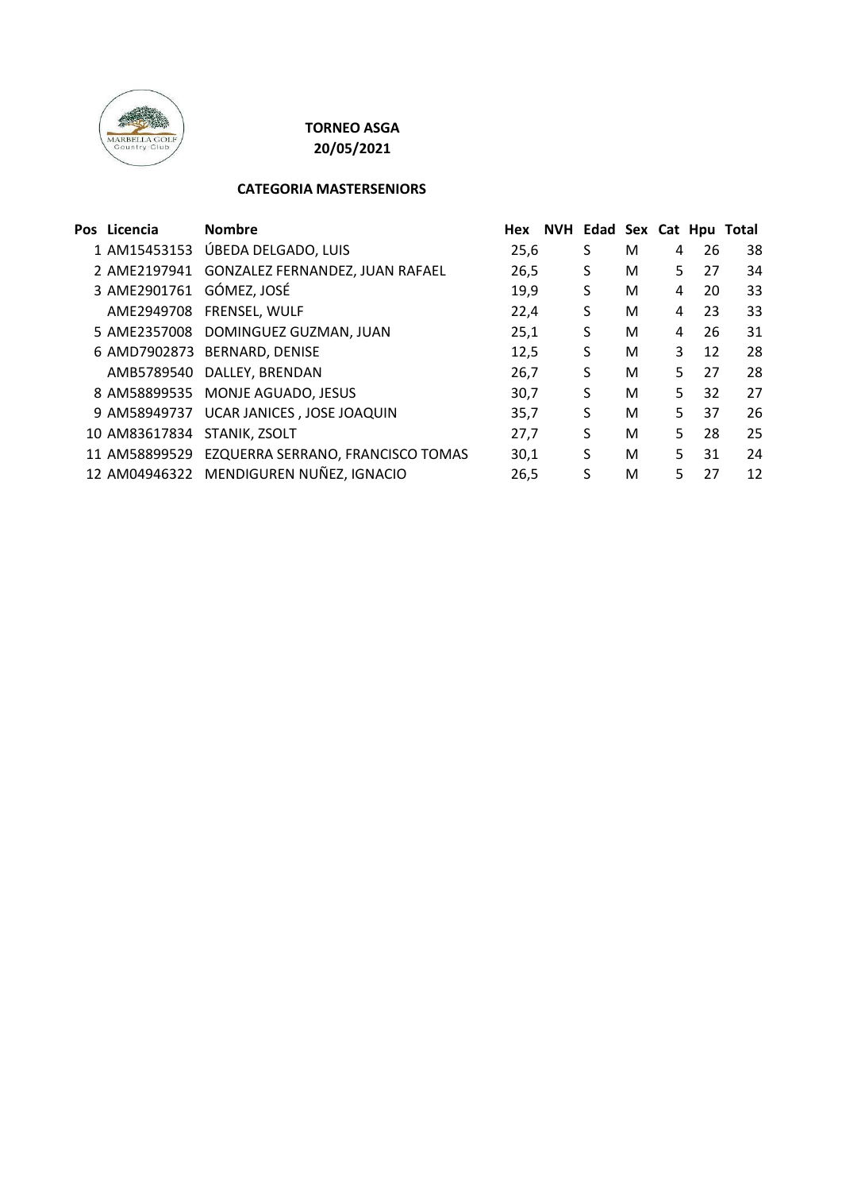

# **TORNEO ASGA**

**20/05/2021**

#### **CATEGORIA MASTERSENIORS**

| Pos Licencia             | <b>Nombre</b>                                   | Hex  | NVH Edad Sex Cat Hpu Total |   |   |    |    |
|--------------------------|-------------------------------------------------|------|----------------------------|---|---|----|----|
|                          | 1 AM15453153 ÚBEDA DELGADO, LUIS                | 25,6 | S                          | M | 4 | 26 | 38 |
| 2 AME2197941             | GONZALEZ FERNANDEZ, JUAN RAFAEL                 | 26,5 | S                          | M | 5 | 27 | 34 |
| 3 AME2901761 GÓMEZ, JOSÉ |                                                 | 19,9 | S                          | M | 4 | 20 | 33 |
|                          | AME2949708 FRENSEL, WULF                        | 22,4 | S                          | M | 4 | 23 | 33 |
|                          | 5 AME2357008 DOMINGUEZ GUZMAN, JUAN             | 25,1 | S                          | M | 4 | 26 | 31 |
|                          | 6 AMD7902873 BERNARD, DENISE                    | 12,5 | S                          | M | 3 | 12 | 28 |
|                          | AMB5789540 DALLEY, BRENDAN                      | 26.7 | S                          | M | 5 | 27 | 28 |
|                          | 8 AM58899535 MONJE AGUADO, JESUS                | 30,7 | S                          | M | 5 | 32 | 27 |
|                          | 9 AM58949737 UCAR JANICES, JOSE JOAQUIN         | 35,7 | S                          | M | 5 | 37 | 26 |
| 10 AM83617834            | STANIK, ZSOLT                                   | 27.7 | S                          | M | 5 | 28 | 25 |
|                          | 11 AM58899529 EZQUERRA SERRANO, FRANCISCO TOMAS | 30,1 | S                          | M | 5 | 31 | 24 |
|                          | 12 AM04946322 MENDIGUREN NUÑEZ, IGNACIO         | 26,5 | S                          | M | 5 | 27 | 12 |
|                          |                                                 |      |                            |   |   |    |    |